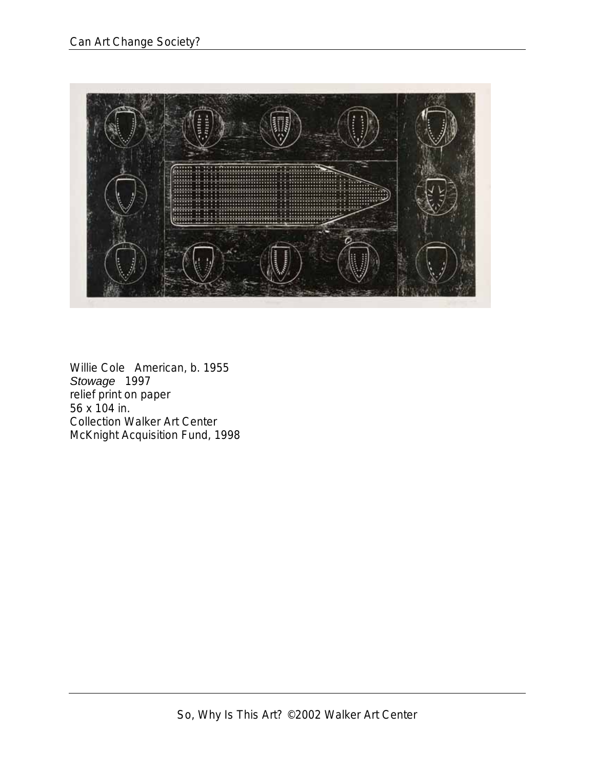

Willie Cole American, b. 1955 *Stowage* 1997 relief print on paper 56 x 104 in. Collection Walker Art Center McKnight Acquisition Fund, 1998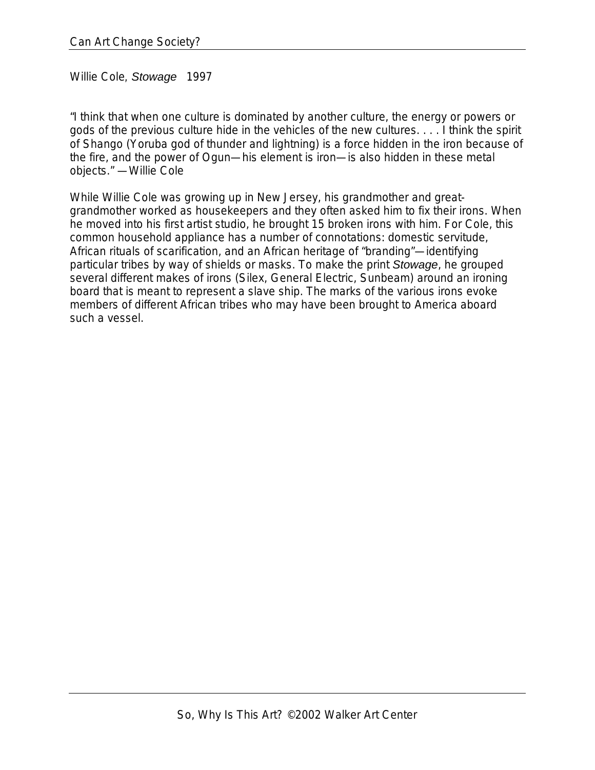Willie Cole*, Stowage* 1997

"I think that when one culture is dominated by another culture, the energy or powers or gods of the previous culture hide in the vehicles of the new cultures. . . . I think the spirit of Shango (Yoruba god of thunder and lightning) is a force hidden in the iron because of the fire, and the power of Ogun—his element is iron—is also hidden in these metal objects." —Willie Cole

While Willie Cole was growing up in New Jersey, his grandmother and greatgrandmother worked as housekeepers and they often asked him to fix their irons. When he moved into his first artist studio, he brought 15 broken irons with him. For Cole, this common household appliance has a number of connotations: domestic servitude, African rituals of scarification, and an African heritage of "branding"—identifying particular tribes by way of shields or masks. To make the print *Stowage*, he grouped several different makes of irons (Silex, General Electric, Sunbeam) around an ironing board that is meant to represent a slave ship. The marks of the various irons evoke members of different African tribes who may have been brought to America aboard such a vessel.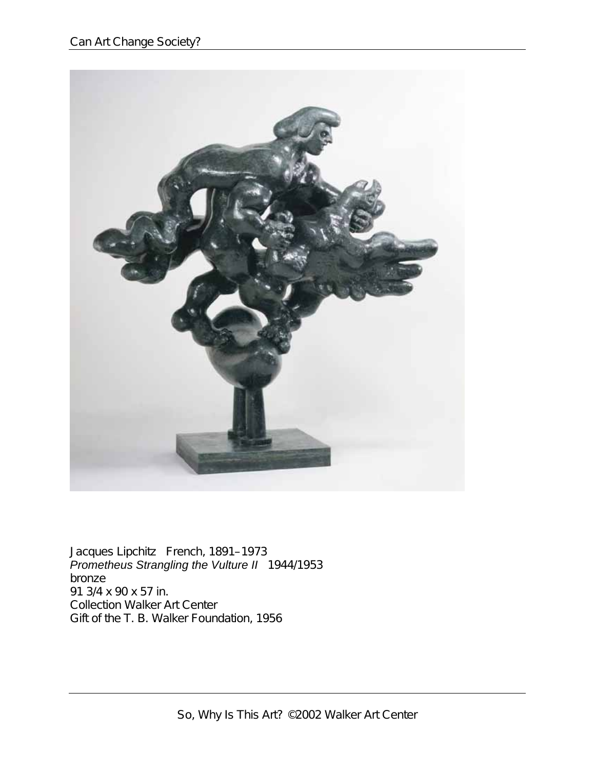

Jacques Lipchitz French, 1891–1973 *Prometheus Strangling the Vulture II* 1944/1953 bronze 91 3/4 x 90 x 57 in. Collection Walker Art Center Gift of the T. B. Walker Foundation, 1956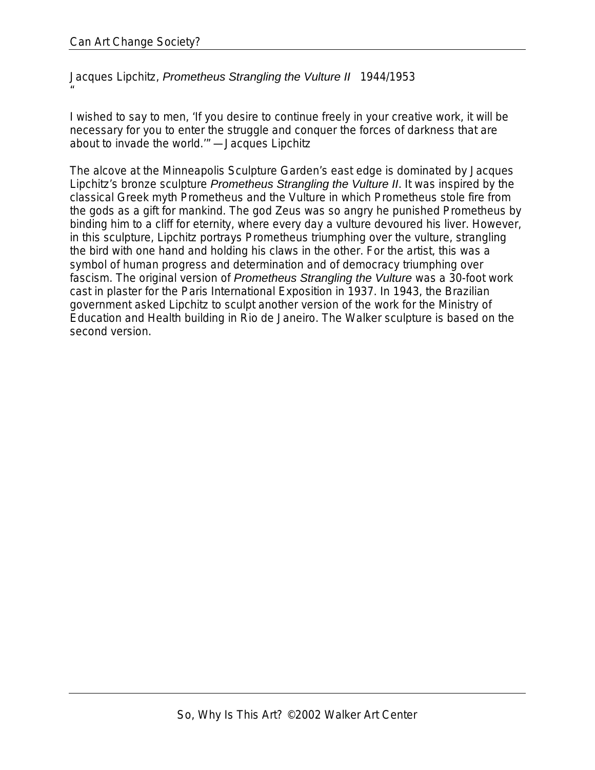Jacques Lipchitz, *Prometheus Strangling the Vulture II* 1944/1953 "

I wished to say to men, 'If you desire to continue freely in your creative work, it will be necessary for you to enter the struggle and conquer the forces of darkness that are about to invade the world.'" —Jacques Lipchitz

The alcove at the Minneapolis Sculpture Garden's east edge is dominated by Jacques Lipchitz's bronze sculpture *Prometheus Strangling the Vulture II*. It was inspired by the classical Greek myth Prometheus and the Vulture in which Prometheus stole fire from the gods as a gift for mankind. The god Zeus was so angry he punished Prometheus by binding him to a cliff for eternity, where every day a vulture devoured his liver. However, in this sculpture, Lipchitz portrays Prometheus triumphing over the vulture, strangling the bird with one hand and holding his claws in the other. For the artist, this was a symbol of human progress and determination and of democracy triumphing over fascism. The original version of *Prometheus Strangling the Vulture* was a 30-foot work cast in plaster for the Paris International Exposition in 1937. In 1943, the Brazilian government asked Lipchitz to sculpt another version of the work for the Ministry of Education and Health building in Rio de Janeiro. The Walker sculpture is based on the second version.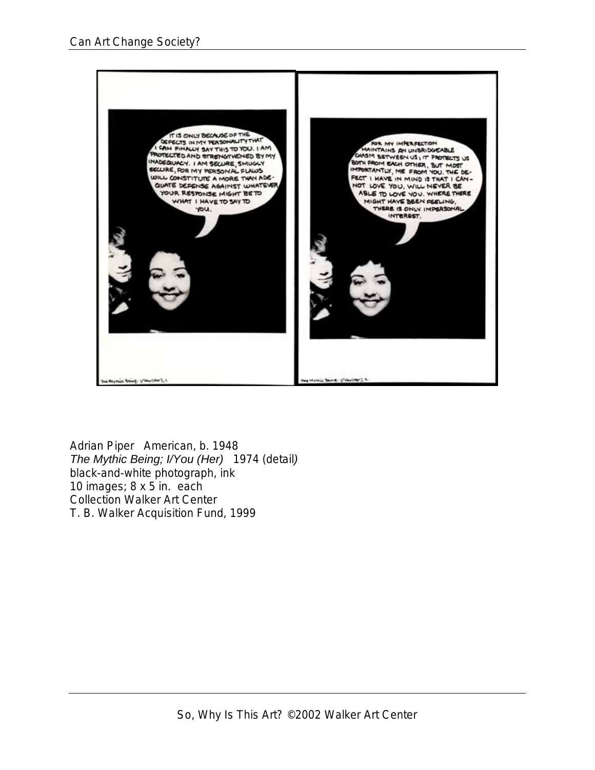

Adrian Piper American, b. 1948 *The Mythic Being; I/You (Her)* 1974 (detail*)* black-and-white photograph, ink 10 images; 8 x 5 in. each Collection Walker Art Center T. B. Walker Acquisition Fund, 1999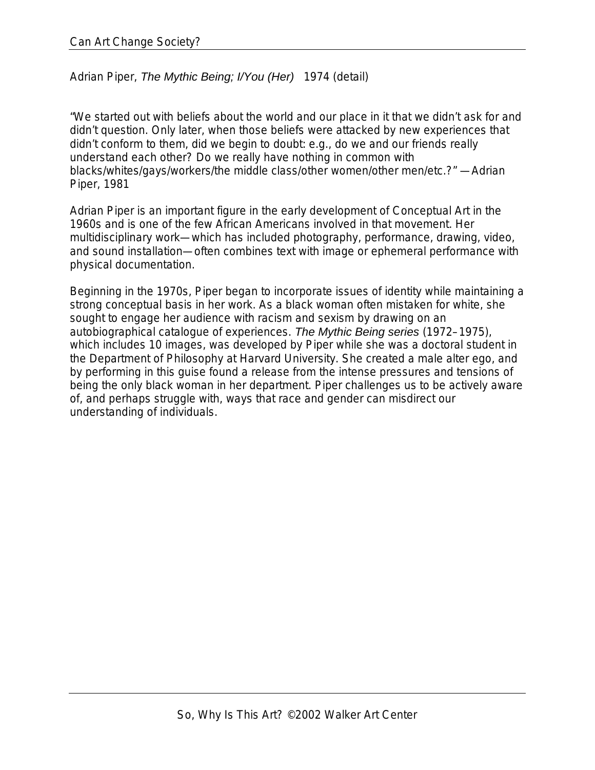Adrian Piper, *The Mythic Being; I/You (Her)* 1974 (detail)

"We started out with beliefs about the world and our place in it that we didn't ask for and didn't question. Only later, when those beliefs were attacked by new experiences that didn't conform to them, did we begin to doubt: e.g., do we and our friends really understand each other? Do we really have nothing in common with blacks/whites/gays/workers/the middle class/other women/other men/etc.?" —Adrian Piper, 1981

Adrian Piper is an important figure in the early development of Conceptual Art in the 1960s and is one of the few African Americans involved in that movement. Her multidisciplinary work—which has included photography, performance, drawing, video, and sound installation—often combines text with image or ephemeral performance with physical documentation.

Beginning in the 1970s, Piper began to incorporate issues of identity while maintaining a strong conceptual basis in her work. As a black woman often mistaken for white, she sought to engage her audience with racism and sexism by drawing on an autobiographical catalogue of experiences. *The Mythic Being series* (1972–1975), which includes 10 images, was developed by Piper while she was a doctoral student in the Department of Philosophy at Harvard University. She created a male alter ego, and by performing in this guise found a release from the intense pressures and tensions of being the only black woman in her department. Piper challenges us to be actively aware of, and perhaps struggle with, ways that race and gender can misdirect our understanding of individuals.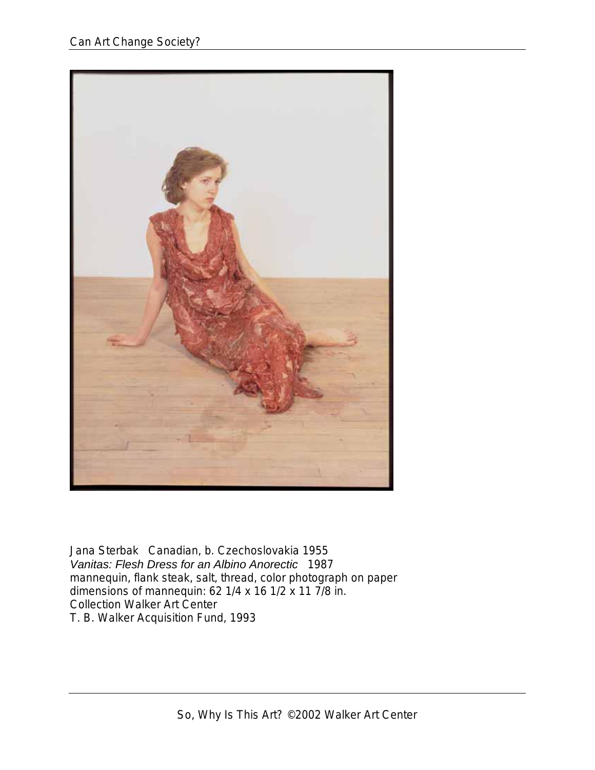

Jana Sterbak Canadian, b. Czechoslovakia 1955 *Vanitas: Flesh Dress for an Albino Anorectic* 1987 mannequin, flank steak, salt, thread, color photograph on paper dimensions of mannequin: 62 1/4 x 16 1/2 x 11 7/8 in. Collection Walker Art Center T. B. Walker Acquisition Fund, 1993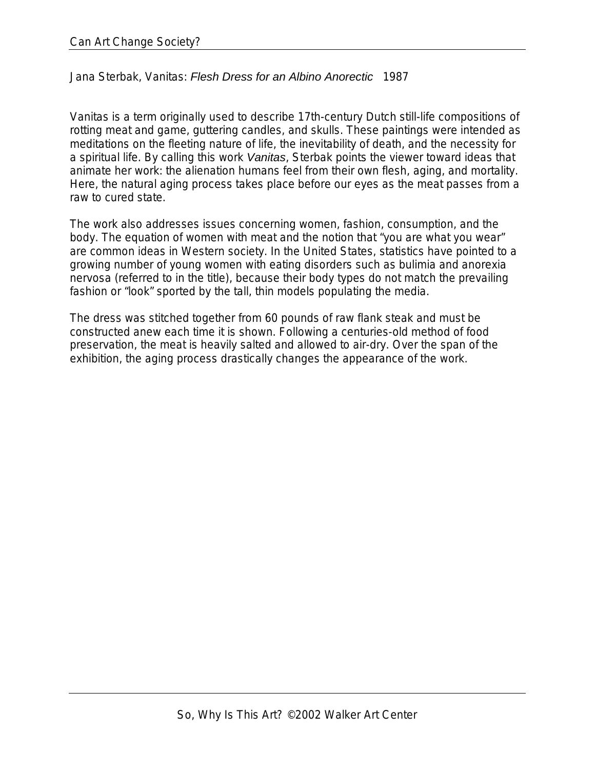## Jana Sterbak, Vanitas: *Flesh Dress for an Albino Anorectic* 1987

Vanitas is a term originally used to describe 17th-century Dutch still-life compositions of rotting meat and game, guttering candles, and skulls. These paintings were intended as meditations on the fleeting nature of life, the inevitability of death, and the necessity for a spiritual life. By calling this work *Vanitas*, Sterbak points the viewer toward ideas that animate her work: the alienation humans feel from their own flesh, aging, and mortality. Here, the natural aging process takes place before our eyes as the meat passes from a raw to cured state.

The work also addresses issues concerning women, fashion, consumption, and the body. The equation of women with meat and the notion that "you are what you wear" are common ideas in Western society. In the United States, statistics have pointed to a growing number of young women with eating disorders such as bulimia and anorexia nervosa (referred to in the title), because their body types do not match the prevailing fashion or "look" sported by the tall, thin models populating the media.

The dress was stitched together from 60 pounds of raw flank steak and must be constructed anew each time it is shown. Following a centuries-old method of food preservation, the meat is heavily salted and allowed to air-dry. Over the span of the exhibition, the aging process drastically changes the appearance of the work.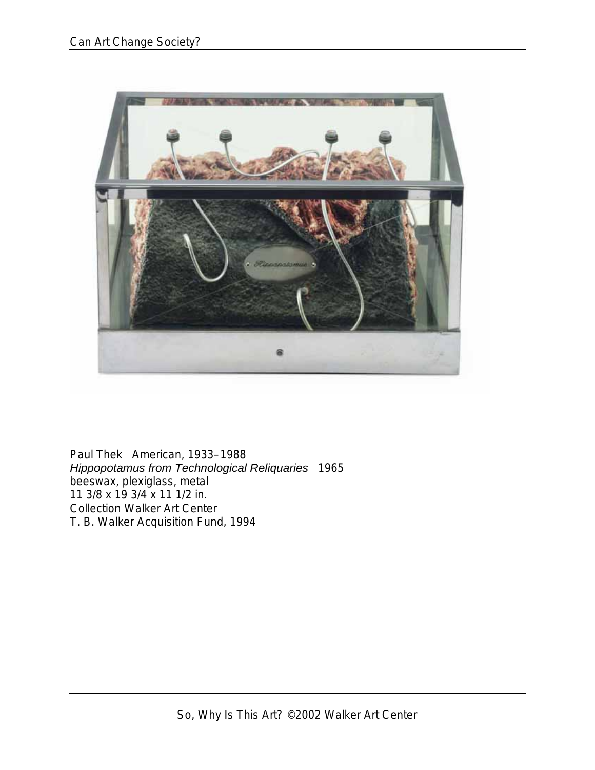![](_page_8_Picture_1.jpeg)

Paul Thek American, 1933–1988 *Hippopotamus from Technological Reliquaries* 1965 beeswax, plexiglass, metal 11 3/8 x 19 3/4 x 11 1/2 in. Collection Walker Art Center T. B. Walker Acquisition Fund, 1994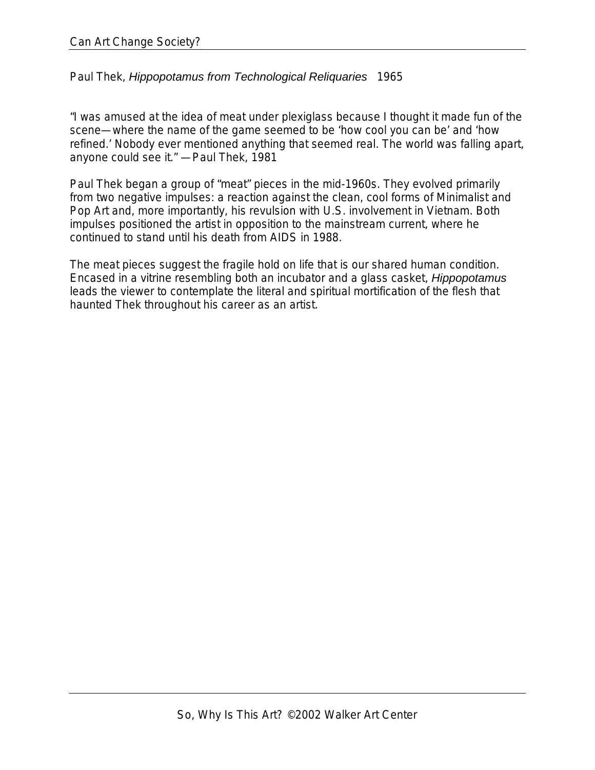## Paul Thek, *Hippopotamus from Technological Reliquaries* 1965

"I was amused at the idea of meat under plexiglass because I thought it made fun of the scene—where the name of the game seemed to be 'how cool you can be' and 'how refined.' Nobody ever mentioned anything that seemed real. The world was falling apart, anyone could see it." —Paul Thek, 1981

Paul Thek began a group of "meat" pieces in the mid-1960s. They evolved primarily from two negative impulses: a reaction against the clean, cool forms of Minimalist and Pop Art and, more importantly, his revulsion with U.S. involvement in Vietnam. Both impulses positioned the artist in opposition to the mainstream current, where he continued to stand until his death from AIDS in 1988.

The meat pieces suggest the fragile hold on life that is our shared human condition. Encased in a vitrine resembling both an incubator and a glass casket, *Hippopotamus* leads the viewer to contemplate the literal and spiritual mortification of the flesh that haunted Thek throughout his career as an artist.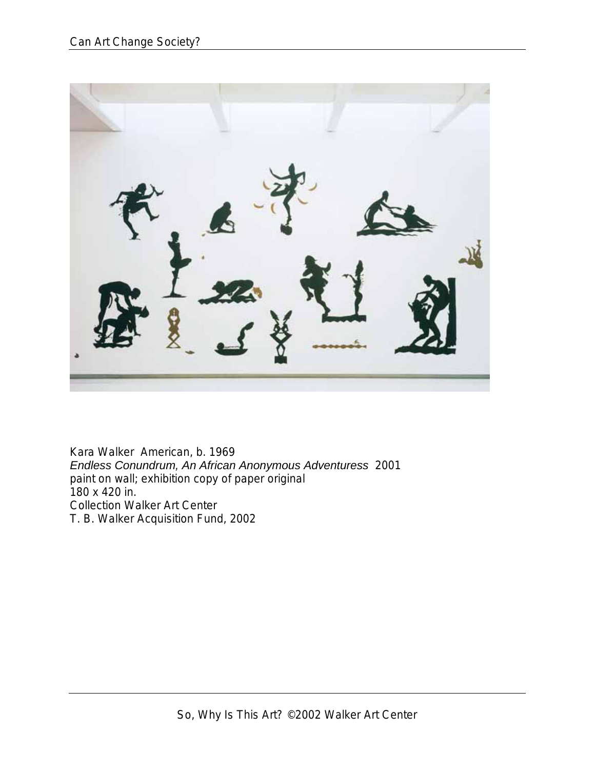![](_page_10_Picture_1.jpeg)

Kara Walker American, b. 1969 *Endless Conundrum, An African Anonymous Adventuress* 2001 paint on wall; exhibition copy of paper original 180 x 420 in. Collection Walker Art Center T. B. Walker Acquisition Fund, 2002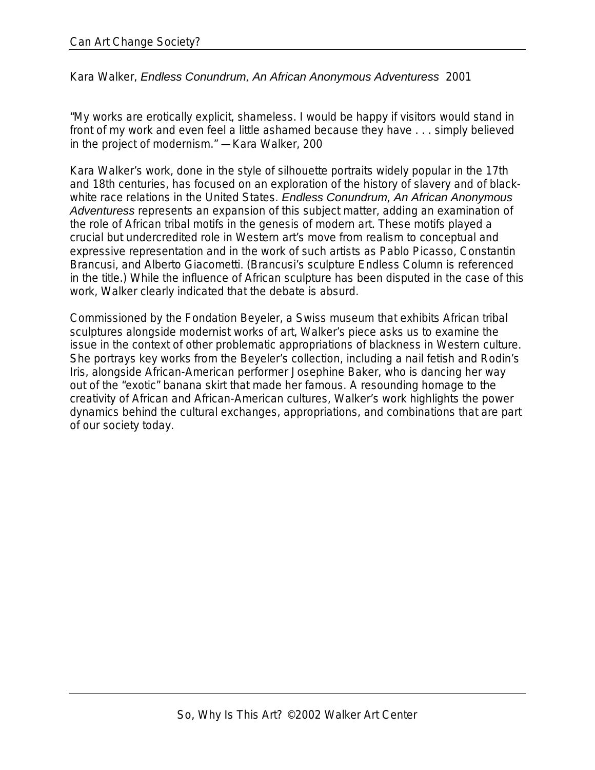Kara Walker, *Endless Conundrum, An African Anonymous Adventuress* 2001

"My works are erotically explicit, shameless. I would be happy if visitors would stand in front of my work and even feel a little ashamed because they have . . . simply believed in the project of modernism." —Kara Walker, 200

Kara Walker's work, done in the style of silhouette portraits widely popular in the 17th and 18th centuries, has focused on an exploration of the history of slavery and of blackwhite race relations in the United States. *Endless Conundrum, An African Anonymous Adventuress* represents an expansion of this subject matter, adding an examination of the role of African tribal motifs in the genesis of modern art. These motifs played a crucial but undercredited role in Western art's move from realism to conceptual and expressive representation and in the work of such artists as Pablo Picasso, Constantin Brancusi, and Alberto Giacometti. (Brancusi's sculpture Endless Column is referenced in the title.) While the influence of African sculpture has been disputed in the case of this work, Walker clearly indicated that the debate is absurd.

Commissioned by the Fondation Beyeler, a Swiss museum that exhibits African tribal sculptures alongside modernist works of art, Walker's piece asks us to examine the issue in the context of other problematic appropriations of blackness in Western culture. She portrays key works from the Beyeler's collection, including a nail fetish and Rodin's Iris, alongside African-American performer Josephine Baker, who is dancing her way out of the "exotic" banana skirt that made her famous. A resounding homage to the creativity of African and African-American cultures, Walker's work highlights the power dynamics behind the cultural exchanges, appropriations, and combinations that are part of our society today.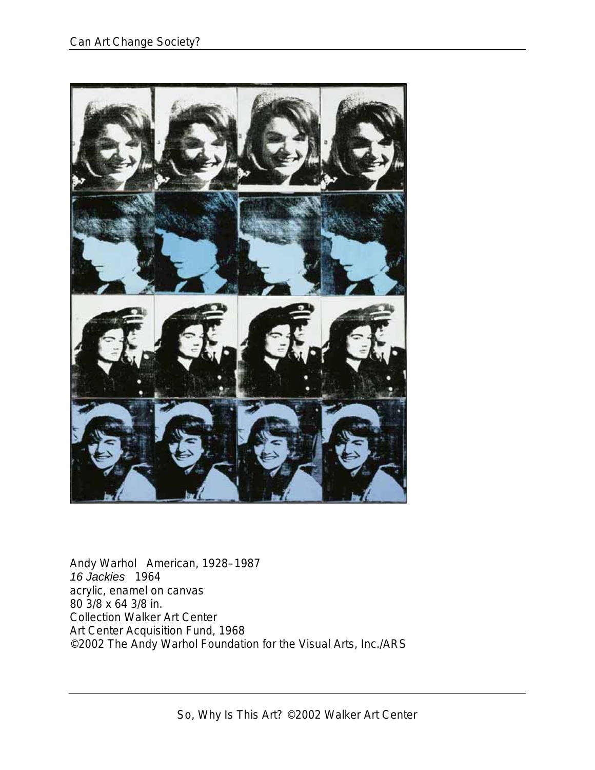![](_page_12_Picture_1.jpeg)

Andy Warhol American, 1928–1987 *16 Jackies* 1964 acrylic, enamel on canvas 80 3/8 x 64 3/8 in. Collection Walker Art Center Art Center Acquisition Fund, 1968 ©2002 The Andy Warhol Foundation for the Visual Arts, Inc./ARS

So, Why Is This Art? ©2002 Walker Art Center